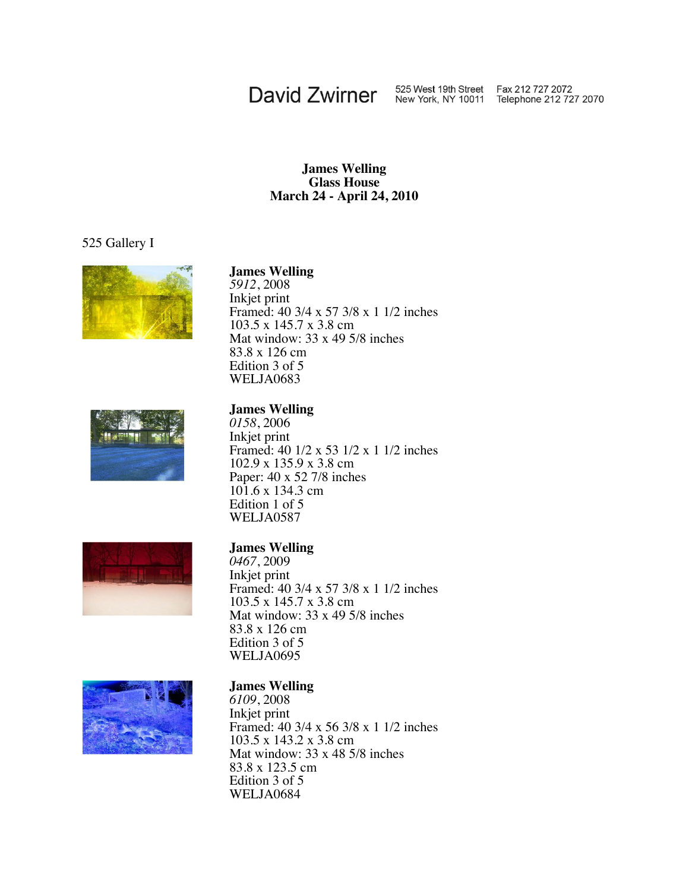## David Zwirner 525 West 19th Street Fax 212 727 2072<br>New York, NY 10011 Telephone 212 727 2070

#### **James Welling Glass House March 24 - April 24, 2010**

#### 525 Gallery I



## **James Welling**\_ *<sup>5912</sup>*, <sup>2008</sup>

Inkjet print Framed: 40 3/4 x 57 3/8 x 1 1/2 inches 103.5 x 145.7 x 3.8 cm Mat window: 33 x 49 5/8 inches 83.8 x 126 cm Edition 3 of 5 WELJA0683



## **James Welling**\_ *<sup>0158</sup>*, <sup>2006</sup>

Inkjet print Framed: 40 1/2 x 53 1/2 x 1 1/2 inches 102.9 x 135.9 x 3.8 cm Paper: 40 x 52 7/8 inches 101.6 x 134.3 cm Edition 1 of 5 WELJA0587



#### **James Welling**\_

*0467*, 2009 Inkjet print Framed: 40 3/4 x 57 3/8 x 1 1/2 inches 103.5 x 145.7 x 3.8 cm Mat window: 33 x 49 5/8 inches 83.8 x 126 cm Edition 3 of 5 WELJA0695



## **James Welling**\_ *<sup>6109</sup>*, <sup>2008</sup>

Inkjet print Framed: 40 3/4 x 56 3/8 x 1 1/2 inches 103.5 x 143.2 x 3.8 cm Mat window: 33 x 48 5/8 inches 83.8 x 123.5 cm Edition 3 of 5 WELJA0684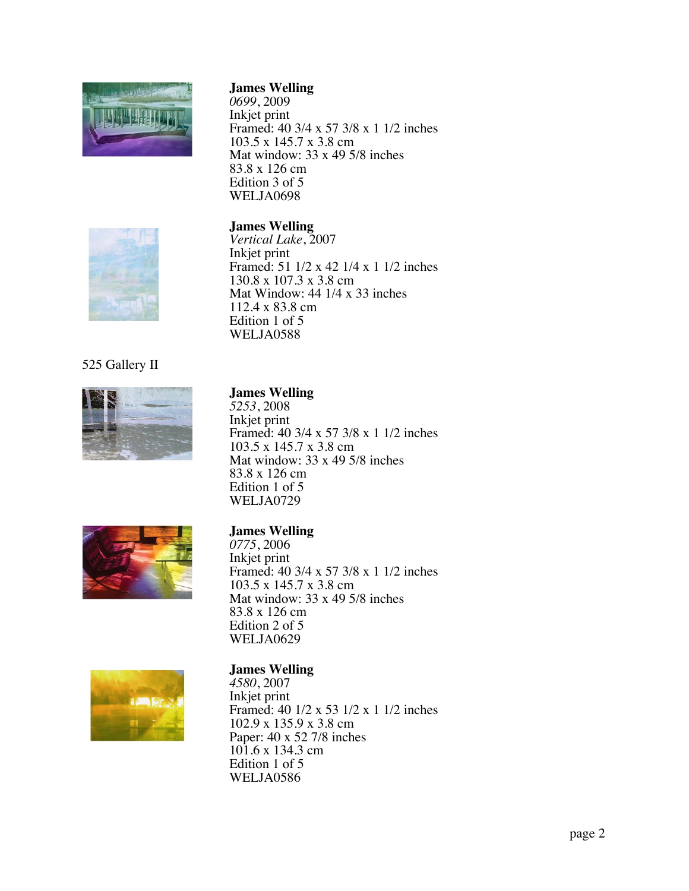

*0699* , 2009 Inkjet print Framed: 40 3/4 x 57 3/8 x 1 1/2 inches 103.5 x 145.7 x 3.8 cm Mat window: 33 x 49 5/8 inches 83.8 x 126 cm Edition 3 of 5 WELJA0698

### **James Welling** \_



*Vertical Lake* , 2007 Inkjet print Framed: 51 1/2 x 42 1/4 x 1 1/2 inches 130.8 x 107.3 x 3.8 cm Mat Window: 44 1/4 x 33 inches 112.4 x 83.8 cm Edition 1 of 5 WELJA0588

### 525 Gallery II



**James Welling** \_ *<sup>5253</sup>*, <sup>2008</sup> Inkjet print Framed: 40 3/4 x 57 3/8 x 1 1/2 inches 103.5 x 145.7 x 3.8 cm Mat window: 33 x 49 5/8 inches 83.8 x 126 cm Edition 1 of 5 WELJA0729



#### **James Welling** \_

*0775* , 2006 Inkjet print Framed: 40 3/4 x 57 3/8 x 1 1/2 inches 103.5 x 145.7 x 3.8 cm Mat window: 33 x 49 5/8 inches 83.8 x 126 cm Edition 2 of 5 WELJA0629



#### **James Welling** \_

*4580* , 2007 Inkjet print Framed: 40 1/2 x 53 1/2 x 1 1/2 inches 102.9 x 135.9 x 3.8 cm Paper: 40 x 52 7/8 inches 101.6 x 134.3 cm Edition 1 of 5 WELJA0586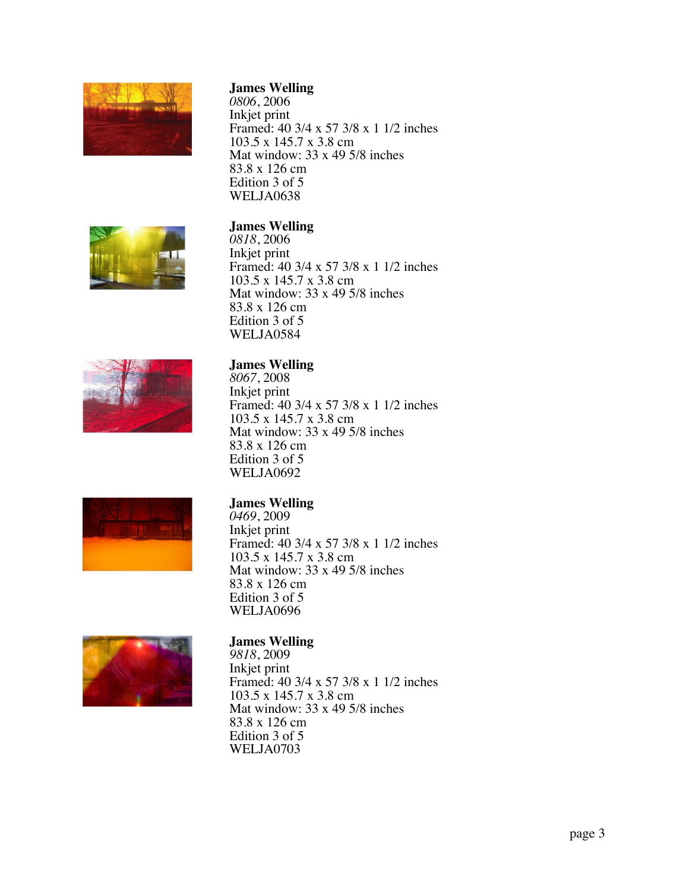

*0806* , 2006 Inkjet print Framed: 40 3/4 x 57 3/8 x 1 1/2 inches 103.5 x 145.7 x 3.8 cm Mat window: 33 x 49 5/8 inches 83.8 x 126 cm Edition 3 of 5 WELJA0638



#### **James Welling** \_

*0818* , 2006 Inkjet print Framed: 40 3/4 x 57 3/8 x 1 1/2 inches 103.5 x 145.7 x 3.8 cm Mat window: 33 x 49 5/8 inches 83.8 x 126 cm Edition 3 of 5 WELJA0584



### **James Welling** \_

*8067* , 2008 Inkjet print Framed: 40 3/4 x 57 3/8 x 1 1/2 inches 103.5 x 145.7 x 3.8 cm Mat window: 33 x 49 5/8 inches 83.8 x 126 cm Edition 3 of 5 WELJA0692



**James Welling** \_ *<sup>0469</sup>*, <sup>2009</sup> Inkjet print Framed: 40 3/4 x 57 3/8 x 1 1/2 inches 103.5 x 145.7 x 3.8 cm Mat window: 33 x 49 5/8 inches 83.8 x 126 cm Edition 3 of 5 WELJA0696



# **James Welling** \_ *<sup>9818</sup>*, <sup>2009</sup>

Inkjet print Framed: 40 3/4 x 57 3/8 x 1 1/2 inches 103.5 x 145.7 x 3.8 cm Mat window: 33 x 49 5/8 inches 83.8 x 126 cm Edition 3 of 5 WELJA0703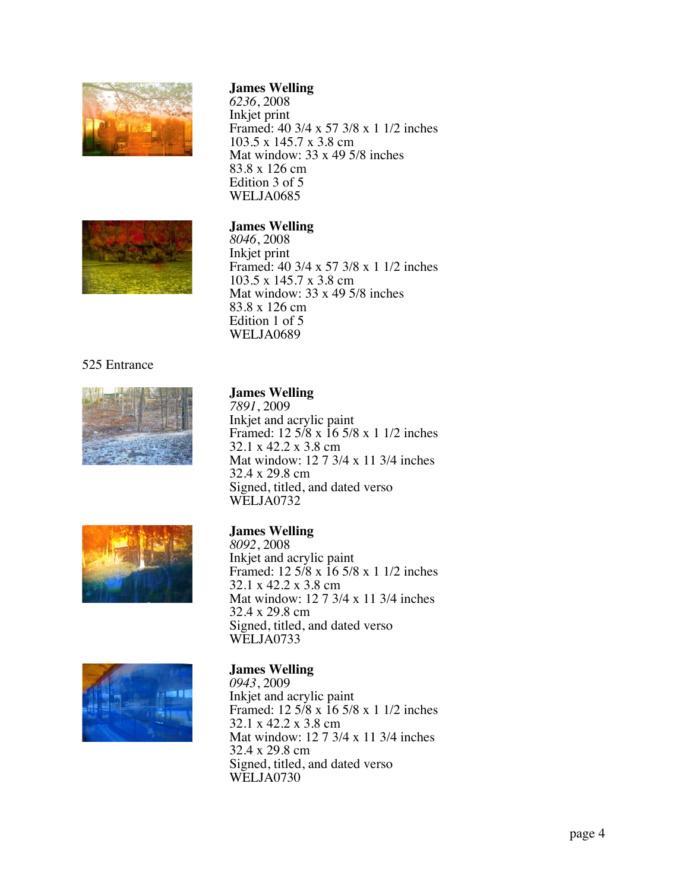

*6236* , 2008 Inkjet print Framed: 40 3/4 x 57 3/8 x 1 1/2 inches 103.5 x 145.7 x 3.8 cm Mat window: 33 x 49 5/8 inches 83.8 x 126 cm Edition 3 of 5 WELJA0685



#### **James Welling** \_

*8046* , 2008 Inkjet print Framed: 40 3/4 x 57 3/8 x 1 1/2 inches 103.5 x 145.7 x 3.8 cm Mat window: 33 x 49 5/8 inches 83.8 x 126 cm Edition 1 of 5 WELJA0689

#### 525 Entrance



**James Welling** \_ *<sup>7891</sup>*, <sup>2009</sup> Inkjet and acrylic paint Framed: 12 5/8 x 16 5/8 x 1 1/2 inches 32.1 x 42.2 x 3.8 cm Mat window: 12 7 3/4 x 11 3/4 inches 32.4 x 29.8 cm Signed, titled, and dated verso WELJA0732



#### **James Welling** \_

*8092* , 2008 Inkjet and acrylic paint Framed: 12 5/8 x 16 5/8 x 1 1/2 inches 32.1 x 42.2 x 3.8 cm Mat window: 12 7 3/4 x 11 3/4 inches 32.4 x 29.8 cm Signed, titled, and dated verso WELJA0733



#### **James Welling** \_

*0943* , 2009 Inkjet and acrylic paint Framed: 12 5/8 x 16 5/8 x 1 1/2 inches 32.1 x 42.2 x 3.8 cm Mat window: 12 7 3/4 x 11 3/4 inches 32.4 x 29.8 cm Signed, titled, and dated verso WELJA0730